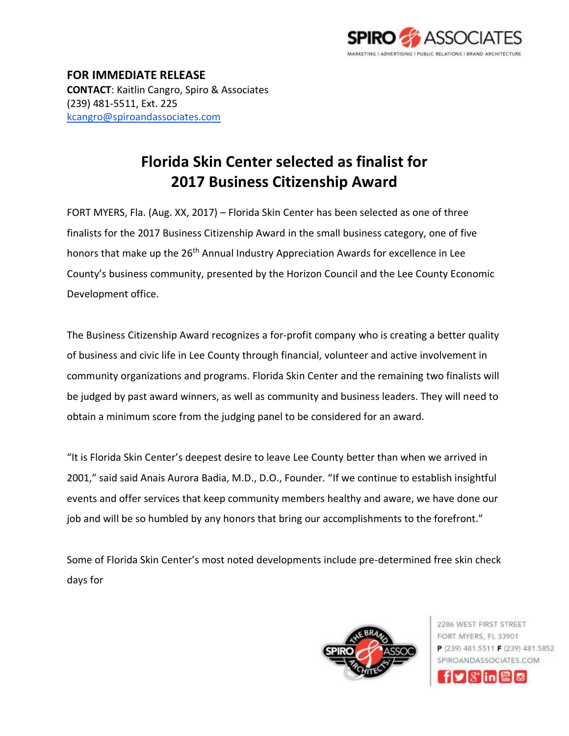

**FOR IMMEDIATE RELEASE CONTACT**: Kaitlin Cangro, Spiro & Associates (239) 481-5511, Ext. 225 [kcangro@spiroandassociates.com](mailto:kcangro@spiroandassociates.com)

## **Florida Skin Center selected as finalist for 2017 Business Citizenship Award**

FORT MYERS, Fla. (Aug. XX, 2017) – Florida Skin Center has been selected as one of three finalists for the 2017 Business Citizenship Award in the small business category, one of five honors that make up the 26<sup>th</sup> Annual Industry Appreciation Awards for excellence in Lee County's business community, presented by the Horizon Council and the Lee County Economic Development office.

The Business Citizenship Award recognizes a for-profit company who is creating a better quality of business and civic life in Lee County through financial, volunteer and active involvement in community organizations and programs. Florida Skin Center and the remaining two finalists will be judged by past award winners, as well as community and business leaders. They will need to obtain a minimum score from the judging panel to be considered for an award.

"It is Florida Skin Center's deepest desire to leave Lee County better than when we arrived in 2001," said said Anais Aurora Badia, M.D., D.O., Founder. "If we continue to establish insightful events and offer services that keep community members healthy and aware, we have done our job and will be so humbled by any honors that bring our accomplishments to the forefront."

Some of Florida Skin Center's most noted developments include pre-determined free skin check days for



2286 WEST FIRST STREET FORT MYERS, FL 33901 P (239) 481.5511 F (239) 481.5852 SPIROANDASSOCIATES COM